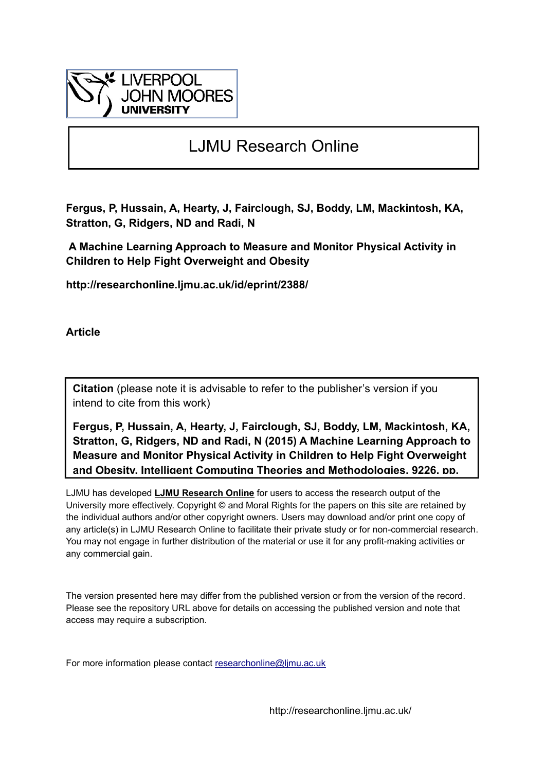

# LJMU Research Online

**Fergus, P, Hussain, A, Hearty, J, Fairclough, SJ, Boddy, LM, Mackintosh, KA, Stratton, G, Ridgers, ND and Radi, N**

 **A Machine Learning Approach to Measure and Monitor Physical Activity in Children to Help Fight Overweight and Obesity**

**http://researchonline.ljmu.ac.uk/id/eprint/2388/**

**Article**

**Citation** (please note it is advisable to refer to the publisher's version if you intend to cite from this work)

**Fergus, P, Hussain, A, Hearty, J, Fairclough, SJ, Boddy, LM, Mackintosh, KA, Stratton, G, Ridgers, ND and Radi, N (2015) A Machine Learning Approach to Measure and Monitor Physical Activity in Children to Help Fight Overweight and Obesity. Intelligent Computing Theories and Methodologies, 9226. pp.** 

LJMU has developed **[LJMU Research Online](http://researchonline.ljmu.ac.uk/)** for users to access the research output of the University more effectively. Copyright © and Moral Rights for the papers on this site are retained by the individual authors and/or other copyright owners. Users may download and/or print one copy of any article(s) in LJMU Research Online to facilitate their private study or for non-commercial research. You may not engage in further distribution of the material or use it for any profit-making activities or any commercial gain.

The version presented here may differ from the published version or from the version of the record. Please see the repository URL above for details on accessing the published version and note that access may require a subscription.

For more information please contact researchonline@limu.ac.uk

http://researchonline.ljmu.ac.uk/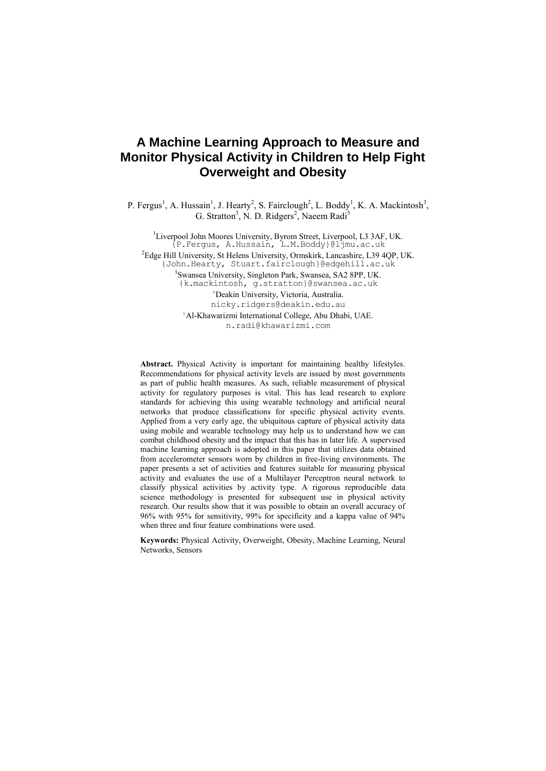# **A Machine Learning Approach to Measure and Monitor Physical Activity in Children to Help Fight Overweight and Obesity**

P. Fergus<sup>1</sup>, A. Hussain<sup>1</sup>, J. Hearty<sup>2</sup>, S. Fairclough<sup>2</sup>, L. Boddy<sup>1</sup>, K. A. Mackintosh<sup>3</sup>, G. Stratton<sup>3</sup>, N. D. Ridgers<sup>2</sup>, Naeem Radi<sup>5</sup>

<sup>1</sup>Liverpool John Moores University, Byrom Street, Liverpool, L3 3AF, UK. {P.Fergus, A.Hussain, L.M.Boddy}@ljmu.ac.uk <sup>2</sup>Edge Hill University, St Helens University, Ormskirk, Lancashire, L39 4QP, UK. {John.Hearty, Stuart.fairclough}@edgehill.ac.uk 3 Swansea University, Singleton Park, Swansea, SA2 8PP, UK. {k.mackintosh, g.stratton}@swansea.ac.uk <sup>4</sup>Deakin University, Victoria, Australia. nicky.ridgers@deakin.edu.au

> <sup>5</sup>Al-Khawarizmi International College, Abu Dhabi, UAE. [n.radi@khawarizmi.com](mailto:n.radi@khawarizmi.com)

**Abstract.** Physical Activity is important for maintaining healthy lifestyles. Recommendations for physical activity levels are issued by most governments as part of public health measures. As such, reliable measurement of physical activity for regulatory purposes is vital. This has lead research to explore standards for achieving this using wearable technology and artificial neural networks that produce classifications for specific physical activity events. Applied from a very early age, the ubiquitous capture of physical activity data using mobile and wearable technology may help us to understand how we can combat childhood obesity and the impact that this has in later life. A supervised machine learning approach is adopted in this paper that utilizes data obtained from accelerometer sensors worn by children in free-living environments. The paper presents a set of activities and features suitable for measuring physical activity and evaluates the use of a Multilayer Perceptron neural network to classify physical activities by activity type. A rigorous reproducible data science methodology is presented for subsequent use in physical activity research. Our results show that it was possible to obtain an overall accuracy of 96% with 95% for sensitivity, 99% for specificity and a kappa value of 94% when three and four feature combinations were used.

**Keywords:** Physical Activity, Overweight, Obesity, Machine Learning, Neural Networks, Sensors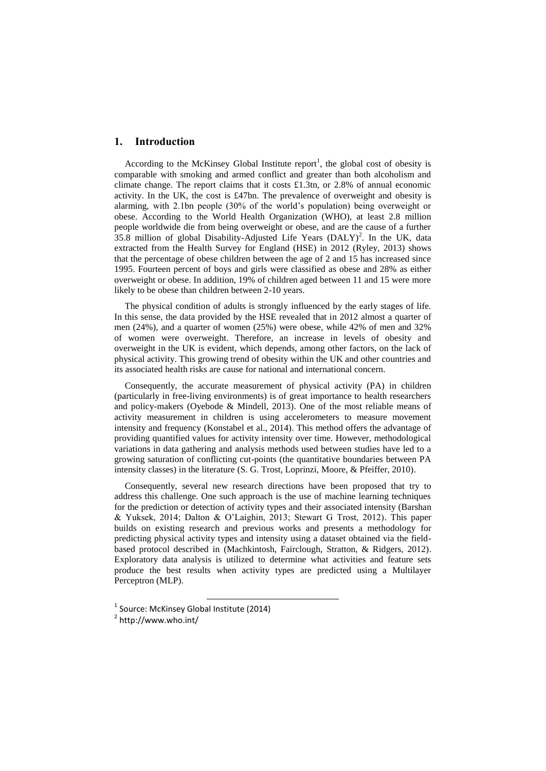# **1. Introduction**

According to the McKinsey Global Institute report<sup>1</sup>, the global cost of obesity is comparable with smoking and armed conflict and greater than both alcoholism and climate change. The report claims that it costs £1.3tn, or 2.8% of annual economic activity. In the UK, the cost is £47bn. The prevalence of overweight and obesity is alarming, with 2.1bn people (30% of the world's population) being overweight or obese. According to the World Health Organization (WHO), at least 2.8 million people worldwide die from being overweight or obese, and are the cause of a further 35.8 million of global Disability-Adjusted Life Years  $(DALY)^2$ . In the UK, data extracted from the Health Survey for England (HSE) in 2012 (Ryley, 2013) shows that the percentage of obese children between the age of 2 and 15 has increased since 1995. Fourteen percent of boys and girls were classified as obese and 28% as either overweight or obese. In addition, 19% of children aged between 11 and 15 were more likely to be obese than children between 2-10 years.

The physical condition of adults is strongly influenced by the early stages of life. In this sense, the data provided by the HSE revealed that in 2012 almost a quarter of men (24%), and a quarter of women (25%) were obese, while 42% of men and 32% of women were overweight. Therefore, an increase in levels of obesity and overweight in the UK is evident, which depends, among other factors, on the lack of physical activity. This growing trend of obesity within the UK and other countries and its associated health risks are cause for national and international concern.

Consequently, the accurate measurement of physical activity (PA) in children (particularly in free-living environments) is of great importance to health researchers and policy-makers (Oyebode & Mindell, 2013). One of the most reliable means of activity measurement in children is using accelerometers to measure movement intensity and frequency (Konstabel et al., 2014). This method offers the advantage of providing quantified values for activity intensity over time. However, methodological variations in data gathering and analysis methods used between studies have led to a growing saturation of conflicting cut-points (the quantitative boundaries between PA intensity classes) in the literature (S. G. Trost, Loprinzi, Moore, & Pfeiffer, 2010).

Consequently, several new research directions have been proposed that try to address this challenge. One such approach is the use of machine learning techniques for the prediction or detection of activity types and their associated intensity (Barshan & Yuksek, 2014; Dalton & O'Laighin, 2013; Stewart G Trost, 2012). This paper builds on existing research and previous works and presents a methodology for predicting physical activity types and intensity using a dataset obtained via the fieldbased protocol described in (Machkintosh, Fairclough, Stratton, & Ridgers, 2012). Exploratory data analysis is utilized to determine what activities and feature sets produce the best results when activity types are predicted using a Multilayer Perceptron (MLP).

-

<sup>&</sup>lt;sup>1</sup> Source: McKinsey Global Institute (2014)

<sup>2</sup> http://www.who.int/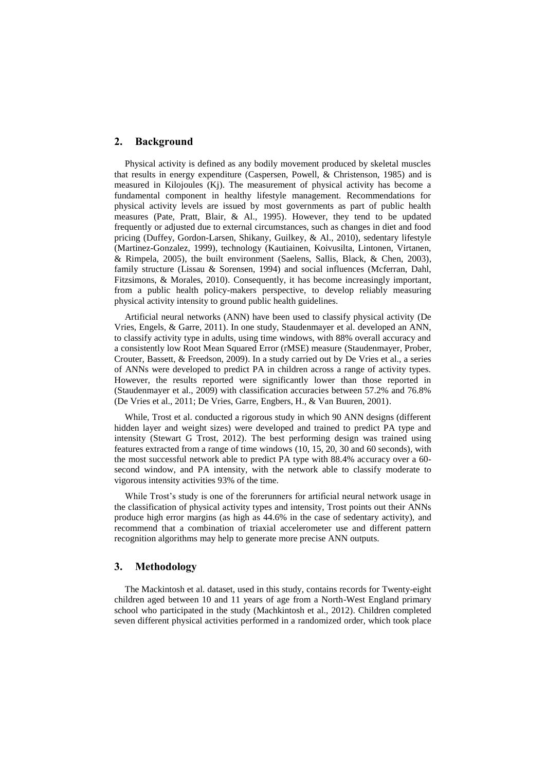#### **2. Background**

Physical activity is defined as any bodily movement produced by skeletal muscles that results in energy expenditure (Caspersen, Powell, & Christenson, 1985) and is measured in Kilojoules (Kj). The measurement of physical activity has become a fundamental component in healthy lifestyle management. Recommendations for physical activity levels are issued by most governments as part of public health measures (Pate, Pratt, Blair, & Al., 1995). However, they tend to be updated frequently or adjusted due to external circumstances, such as changes in diet and food pricing (Duffey, Gordon-Larsen, Shikany, Guilkey, & Al., 2010), sedentary lifestyle (Martinez-Gonzalez, 1999), technology (Kautiainen, Koivusilta, Lintonen, Virtanen, & Rimpela, 2005), the built environment (Saelens, Sallis, Black, & Chen, 2003), family structure (Lissau & Sorensen, 1994) and social influences (Mcferran, Dahl, Fitzsimons, & Morales, 2010). Consequently, it has become increasingly important, from a public health policy-makers perspective, to develop reliably measuring physical activity intensity to ground public health guidelines.

Artificial neural networks (ANN) have been used to classify physical activity (De Vries, Engels, & Garre, 2011). In one study, Staudenmayer et al. developed an ANN, to classify activity type in adults, using time windows, with 88% overall accuracy and a consistently low Root Mean Squared Error (rMSE) measure (Staudenmayer, Prober, Crouter, Bassett, & Freedson, 2009). In a study carried out by De Vries et al., a series of ANNs were developed to predict PA in children across a range of activity types. However, the results reported were significantly lower than those reported in (Staudenmayer et al., 2009) with classification accuracies between 57.2% and 76.8% (De Vries et al., 2011; De Vries, Garre, Engbers, H., & Van Buuren, 2001).

While, Trost et al. conducted a rigorous study in which 90 ANN designs (different hidden layer and weight sizes) were developed and trained to predict PA type and intensity (Stewart G Trost, 2012). The best performing design was trained using features extracted from a range of time windows (10, 15, 20, 30 and 60 seconds), with the most successful network able to predict PA type with 88.4% accuracy over a 60 second window, and PA intensity, with the network able to classify moderate to vigorous intensity activities 93% of the time.

While Trost's study is one of the forerunners for artificial neural network usage in the classification of physical activity types and intensity, Trost points out their ANNs produce high error margins (as high as 44.6% in the case of sedentary activity), and recommend that a combination of triaxial accelerometer use and different pattern recognition algorithms may help to generate more precise ANN outputs.

# **3. Methodology**

The Mackintosh et al. dataset, used in this study, contains records for Twenty-eight children aged between 10 and 11 years of age from a North-West England primary school who participated in the study (Machkintosh et al., 2012). Children completed seven different physical activities performed in a randomized order, which took place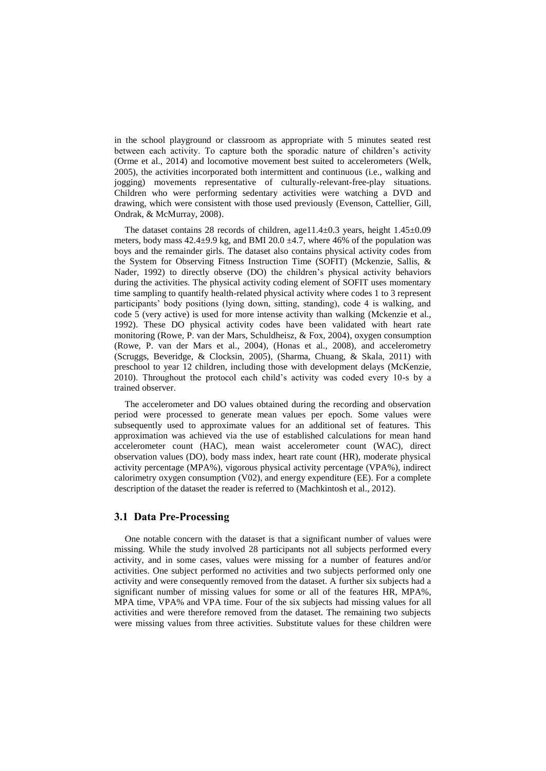in the school playground or classroom as appropriate with 5 minutes seated rest between each activity. To capture both the sporadic nature of children's activity (Orme et al., 2014) and locomotive movement best suited to accelerometers (Welk, 2005), the activities incorporated both intermittent and continuous (i.e., walking and jogging) movements representative of culturally-relevant-free-play situations. Children who were performing sedentary activities were watching a DVD and drawing, which were consistent with those used previously (Evenson, Cattellier, Gill, Ondrak, & McMurray, 2008).

The dataset contains 28 records of children, age11.4 $\pm$ 0.3 years, height 1.45 $\pm$ 0.09 meters, body mass  $42.4\pm9.9$  kg, and BMI 20.0  $\pm4.7$ , where 46% of the population was boys and the remainder girls. The dataset also contains physical activity codes from the System for Observing Fitness Instruction Time (SOFIT) (Mckenzie, Sallis, & Nader, 1992) to directly observe (DO) the children's physical activity behaviors during the activities. The physical activity coding element of SOFIT uses momentary time sampling to quantify health-related physical activity where codes 1 to 3 represent participants' body positions (lying down, sitting, standing), code 4 is walking, and code 5 (very active) is used for more intense activity than walking (Mckenzie et al., 1992). These DO physical activity codes have been validated with heart rate monitoring (Rowe, P. van der Mars, Schuldheisz, & Fox, 2004), oxygen consumption (Rowe, P. van der Mars et al., 2004), (Honas et al., 2008), and accelerometry (Scruggs, Beveridge, & Clocksin, 2005), (Sharma, Chuang, & Skala, 2011) with preschool to year 12 children, including those with development delays (McKenzie, 2010). Throughout the protocol each child's activity was coded every 10-s by a trained observer.

The accelerometer and DO values obtained during the recording and observation period were processed to generate mean values per epoch. Some values were subsequently used to approximate values for an additional set of features. This approximation was achieved via the use of established calculations for mean hand accelerometer count (HAC), mean waist accelerometer count (WAC), direct observation values (DO), body mass index, heart rate count (HR), moderate physical activity percentage (MPA%), vigorous physical activity percentage (VPA%), indirect calorimetry oxygen consumption (V02), and energy expenditure (EE). For a complete description of the dataset the reader is referred to (Machkintosh et al., 2012).

# **3.1 Data Pre-Processing**

One notable concern with the dataset is that a significant number of values were missing. While the study involved 28 participants not all subjects performed every activity, and in some cases, values were missing for a number of features and/or activities. One subject performed no activities and two subjects performed only one activity and were consequently removed from the dataset. A further six subjects had a significant number of missing values for some or all of the features HR, MPA%, MPA time, VPA% and VPA time. Four of the six subjects had missing values for all activities and were therefore removed from the dataset. The remaining two subjects were missing values from three activities. Substitute values for these children were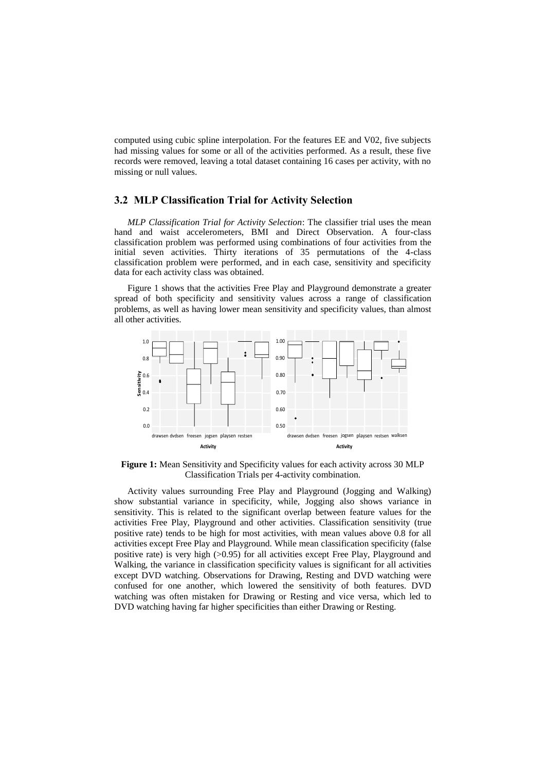computed using cubic spline interpolation. For the features EE and V02, five subjects had missing values for some or all of the activities performed. As a result, these five records were removed, leaving a total dataset containing 16 cases per activity, with no missing or null values.

#### **3.2 MLP Classification Trial for Activity Selection**

*MLP Classification Trial for Activity Selection*: The classifier trial uses the mean hand and waist accelerometers, BMI and Direct Observation. A four-class classification problem was performed using combinations of four activities from the initial seven activities. Thirty iterations of 35 permutations of the 4-class classification problem were performed, and in each case, sensitivity and specificity data for each activity class was obtained.

Figure 1 shows that the activities Free Play and Playground demonstrate a greater spread of both specificity and sensitivity values across a range of classification problems, as well as having lower mean sensitivity and specificity values, than almost all other activities.



**Figure 1:** Mean Sensitivity and Specificity values for each activity across 30 MLP Classification Trials per 4-activity combination.

Activity values surrounding Free Play and Playground (Jogging and Walking) show substantial variance in specificity, while, Jogging also shows variance in sensitivity. This is related to the significant overlap between feature values for the activities Free Play, Playground and other activities. Classification sensitivity (true positive rate) tends to be high for most activities, with mean values above 0.8 for all activities except Free Play and Playground. While mean classification specificity (false positive rate) is very high (>0.95) for all activities except Free Play, Playground and Walking, the variance in classification specificity values is significant for all activities except DVD watching. Observations for Drawing, Resting and DVD watching were confused for one another, which lowered the sensitivity of both features. DVD watching was often mistaken for Drawing or Resting and vice versa, which led to DVD watching having far higher specificities than either Drawing or Resting.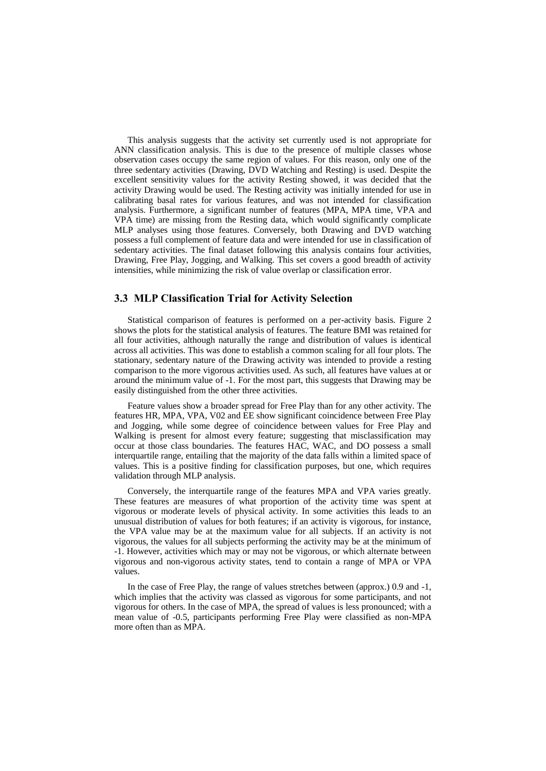This analysis suggests that the activity set currently used is not appropriate for ANN classification analysis. This is due to the presence of multiple classes whose observation cases occupy the same region of values. For this reason, only one of the three sedentary activities (Drawing, DVD Watching and Resting) is used. Despite the excellent sensitivity values for the activity Resting showed, it was decided that the activity Drawing would be used. The Resting activity was initially intended for use in calibrating basal rates for various features, and was not intended for classification analysis. Furthermore, a significant number of features (MPA, MPA time, VPA and VPA time) are missing from the Resting data, which would significantly complicate MLP analyses using those features. Conversely, both Drawing and DVD watching possess a full complement of feature data and were intended for use in classification of sedentary activities. The final dataset following this analysis contains four activities, Drawing, Free Play, Jogging, and Walking. This set covers a good breadth of activity intensities, while minimizing the risk of value overlap or classification error.

# **3.3 MLP Classification Trial for Activity Selection**

Statistical comparison of features is performed on a per-activity basis. Figure 2 shows the plots for the statistical analysis of features. The feature BMI was retained for all four activities, although naturally the range and distribution of values is identical across all activities. This was done to establish a common scaling for all four plots. The stationary, sedentary nature of the Drawing activity was intended to provide a resting comparison to the more vigorous activities used. As such, all features have values at or around the minimum value of -1. For the most part, this suggests that Drawing may be easily distinguished from the other three activities.

Feature values show a broader spread for Free Play than for any other activity. The features HR, MPA, VPA, V02 and EE show significant coincidence between Free Play and Jogging, while some degree of coincidence between values for Free Play and Walking is present for almost every feature; suggesting that misclassification may occur at those class boundaries. The features HAC, WAC, and DO possess a small interquartile range, entailing that the majority of the data falls within a limited space of values. This is a positive finding for classification purposes, but one, which requires validation through MLP analysis.

Conversely, the interquartile range of the features MPA and VPA varies greatly. These features are measures of what proportion of the activity time was spent at vigorous or moderate levels of physical activity. In some activities this leads to an unusual distribution of values for both features; if an activity is vigorous, for instance, the VPA value may be at the maximum value for all subjects. If an activity is not vigorous, the values for all subjects performing the activity may be at the minimum of -1. However, activities which may or may not be vigorous, or which alternate between vigorous and non-vigorous activity states, tend to contain a range of MPA or VPA values.

In the case of Free Play, the range of values stretches between (approx.) 0.9 and -1, which implies that the activity was classed as vigorous for some participants, and not vigorous for others. In the case of MPA, the spread of values is less pronounced; with a mean value of -0.5, participants performing Free Play were classified as non-MPA more often than as MPA.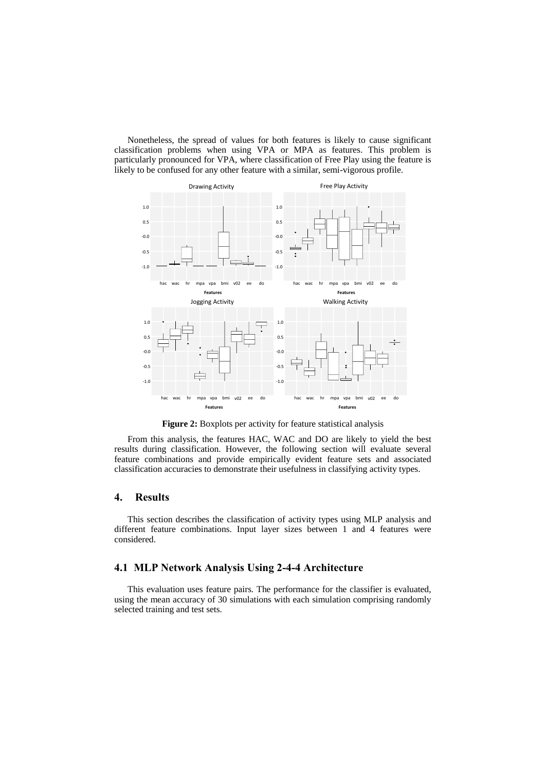Nonetheless, the spread of values for both features is likely to cause significant classification problems when using VPA or MPA as features. This problem is particularly pronounced for VPA, where classification of Free Play using the feature is likely to be confused for any other feature with a similar, semi-vigorous profile.



**Figure 2:** Boxplots per activity for feature statistical analysis

From this analysis, the features HAC, WAC and DO are likely to yield the best results during classification. However, the following section will evaluate several feature combinations and provide empirically evident feature sets and associated classification accuracies to demonstrate their usefulness in classifying activity types.

# **4. Results**

This section describes the classification of activity types using MLP analysis and different feature combinations. Input layer sizes between 1 and 4 features were considered.

# **4.1 MLP Network Analysis Using 2-4-4 Architecture**

This evaluation uses feature pairs. The performance for the classifier is evaluated, using the mean accuracy of 30 simulations with each simulation comprising randomly selected training and test sets.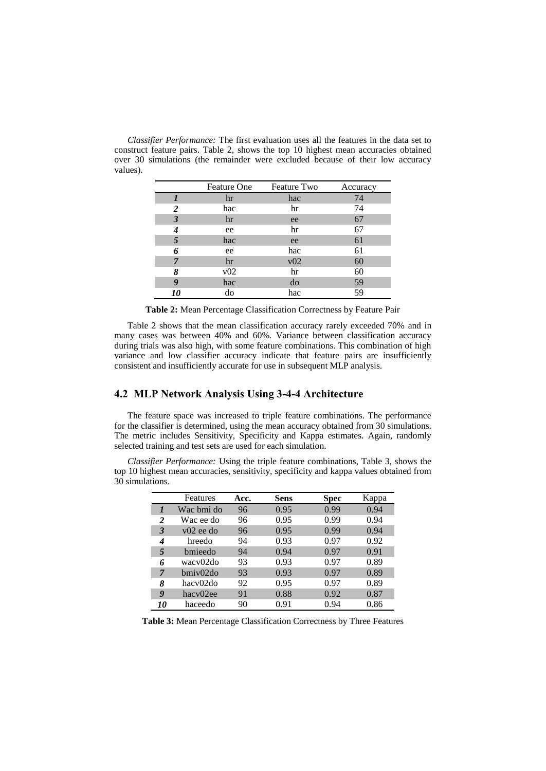*Classifier Performance:* The first evaluation uses all the features in the data set to construct feature pairs. Table 2, shows the top 10 highest mean accuracies obtained over 30 simulations (the remainder were excluded because of their low accuracy values).

|                         | Feature One | Feature Two | Accuracy |
|-------------------------|-------------|-------------|----------|
|                         | hr          | hac         | 74       |
| $\overline{\mathbf{c}}$ | hac         | hr          | 74       |
| 3                       | hr          | ee          | 67       |
|                         | ee          | hr          | 67       |
| 5                       | hac         | ee          | 61       |
| 6                       | ee          | hac         | 61       |
| 7                       | hr          | v02         | 60       |
| 8                       | v02         | hr          | 60       |
| 9                       | hac         | do          | 59       |
| <i>10</i>               | do          | hac         | 59       |

**Table 2:** Mean Percentage Classification Correctness by Feature Pair

Table 2 shows that the mean classification accuracy rarely exceeded 70% and in many cases was between 40% and 60%. Variance between classification accuracy during trials was also high, with some feature combinations. This combination of high variance and low classifier accuracy indicate that feature pairs are insufficiently consistent and insufficiently accurate for use in subsequent MLP analysis.

# **4.2 MLP Network Analysis Using 3-4-4 Architecture**

The feature space was increased to triple feature combinations. The performance for the classifier is determined, using the mean accuracy obtained from 30 simulations. The metric includes Sensitivity, Specificity and Kappa estimates. Again, randomly selected training and test sets are used for each simulation.

*Classifier Performance:* Using the triple feature combinations, Table 3, shows the top 10 highest mean accuracies, sensitivity, specificity and kappa values obtained from 30 simulations.

|    | Features      | Acc. | Sens | Spec | Kappa |
|----|---------------|------|------|------|-------|
|    | Wac bmi do    | 96   | 0.95 | 0.99 | 0.94  |
| 2  | Wac ee do     | 96   | 0.95 | 0.99 | 0.94  |
| 3  | $v(02)$ ee do | 96   | 0.95 | 0.99 | 0.94  |
| 4  | hreedo        | 94   | 0.93 | 0.97 | 0.92  |
| 5  | bmieedo       | 94   | 0.94 | 0.97 | 0.91  |
| 6  | wacy02do      | 93   | 0.93 | 0.97 | 0.89  |
| 7  | bmiy02do      | 93   | 0.93 | 0.97 | 0.89  |
| 8  | hacy02do      | 92   | 0.95 | 0.97 | 0.89  |
| 9  | hacy02ee      | 91   | 0.88 | 0.92 | 0.87  |
| 10 | haceedo       | 90   | 0.91 | 0.94 | 0.86  |

**Table 3:** Mean Percentage Classification Correctness by Three Features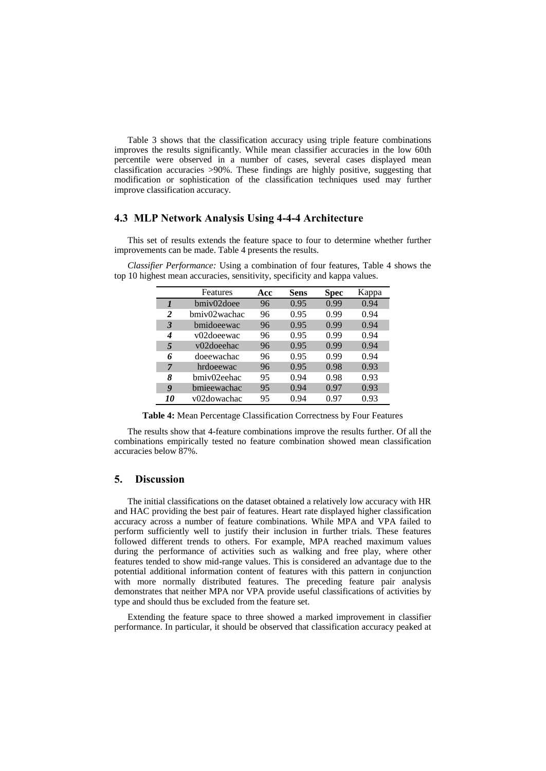Table 3 shows that the classification accuracy using triple feature combinations improves the results significantly. While mean classifier accuracies in the low 60th percentile were observed in a number of cases, several cases displayed mean classification accuracies >90%. These findings are highly positive, suggesting that modification or sophistication of the classification techniques used may further improve classification accuracy.

#### **4.3 MLP Network Analysis Using 4-4-4 Architecture**

This set of results extends the feature space to four to determine whether further improvements can be made. Table 4 presents the results.

|                           | Features     | Acc | <b>Sens</b> | Spec | Kappa |
|---------------------------|--------------|-----|-------------|------|-------|
| $\boldsymbol{\mathit{I}}$ | bmiv02doee   | 96  | 0.95        | 0.99 | 0.94  |
| $\overline{c}$            | bmiy02wachac | 96  | 0.95        | 0.99 | 0.94  |
| 3                         | bmidoeewac   | 96  | 0.95        | 0.99 | 0.94  |
| 4                         | v02doeewac   | 96  | 0.95        | 0.99 | 0.94  |
| 5                         | v02doeehac   | 96  | 0.95        | 0.99 | 0.94  |
| 6                         | doeewachac   | 96  | 0.95        | 0.99 | 0.94  |
| 7                         | hrdoeewac    | 96  | 0.95        | 0.98 | 0.93  |
| 8                         | bmiv02eehac  | 95  | 0.94        | 0.98 | 0.93  |
| 9                         | bmieewachac  | 95  | 0.94        | 0.97 | 0.93  |
| 10                        | v02dowachac  | 95  | 0.94        | 0.97 | 0.93  |

*Classifier Performance:* Using a combination of four features, Table 4 shows the top 10 highest mean accuracies, sensitivity, specificity and kappa values.

**Table 4:** Mean Percentage Classification Correctness by Four Features

The results show that 4-feature combinations improve the results further. Of all the combinations empirically tested no feature combination showed mean classification accuracies below 87%.

# **5. Discussion**

The initial classifications on the dataset obtained a relatively low accuracy with HR and HAC providing the best pair of features. Heart rate displayed higher classification accuracy across a number of feature combinations. While MPA and VPA failed to perform sufficiently well to justify their inclusion in further trials. These features followed different trends to others. For example, MPA reached maximum values during the performance of activities such as walking and free play, where other features tended to show mid-range values. This is considered an advantage due to the potential additional information content of features with this pattern in conjunction with more normally distributed features. The preceding feature pair analysis demonstrates that neither MPA nor VPA provide useful classifications of activities by type and should thus be excluded from the feature set.

Extending the feature space to three showed a marked improvement in classifier performance. In particular, it should be observed that classification accuracy peaked at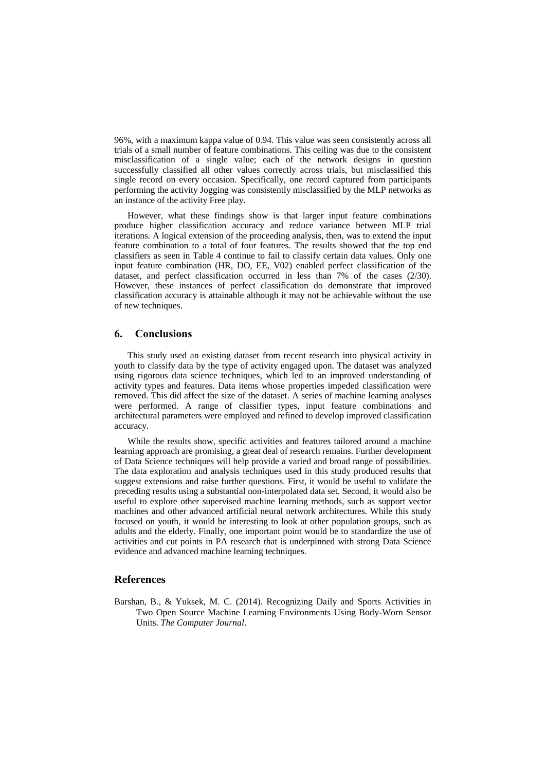96%, with a maximum kappa value of 0.94. This value was seen consistently across all trials of a small number of feature combinations. This ceiling was due to the consistent misclassification of a single value; each of the network designs in question successfully classified all other values correctly across trials, but misclassified this single record on every occasion. Specifically, one record captured from participants performing the activity Jogging was consistently misclassified by the MLP networks as an instance of the activity Free play.

However, what these findings show is that larger input feature combinations produce higher classification accuracy and reduce variance between MLP trial iterations. A logical extension of the proceeding analysis, then, was to extend the input feature combination to a total of four features. The results showed that the top end classifiers as seen in Table 4 continue to fail to classify certain data values. Only one input feature combination (HR, DO, EE, V02) enabled perfect classification of the dataset, and perfect classification occurred in less than 7% of the cases (2/30). However, these instances of perfect classification do demonstrate that improved classification accuracy is attainable although it may not be achievable without the use of new techniques.

#### **6. Conclusions**

This study used an existing dataset from recent research into physical activity in youth to classify data by the type of activity engaged upon. The dataset was analyzed using rigorous data science techniques, which led to an improved understanding of activity types and features. Data items whose properties impeded classification were removed. This did affect the size of the dataset. A series of machine learning analyses were performed. A range of classifier types, input feature combinations and architectural parameters were employed and refined to develop improved classification accuracy.

While the results show, specific activities and features tailored around a machine learning approach are promising, a great deal of research remains. Further development of Data Science techniques will help provide a varied and broad range of possibilities. The data exploration and analysis techniques used in this study produced results that suggest extensions and raise further questions. First, it would be useful to validate the preceding results using a substantial non-interpolated data set. Second, it would also be useful to explore other supervised machine learning methods, such as support vector machines and other advanced artificial neural network architectures. While this study focused on youth, it would be interesting to look at other population groups, such as adults and the elderly. Finally, one important point would be to standardize the use of activities and cut points in PA research that is underpinned with strong Data Science evidence and advanced machine learning techniques.

# **References**

Barshan, B., & Yuksek, M. C. (2014). Recognizing Daily and Sports Activities in Two Open Source Machine Learning Environments Using Body-Worn Sensor Units. *The Computer Journal*.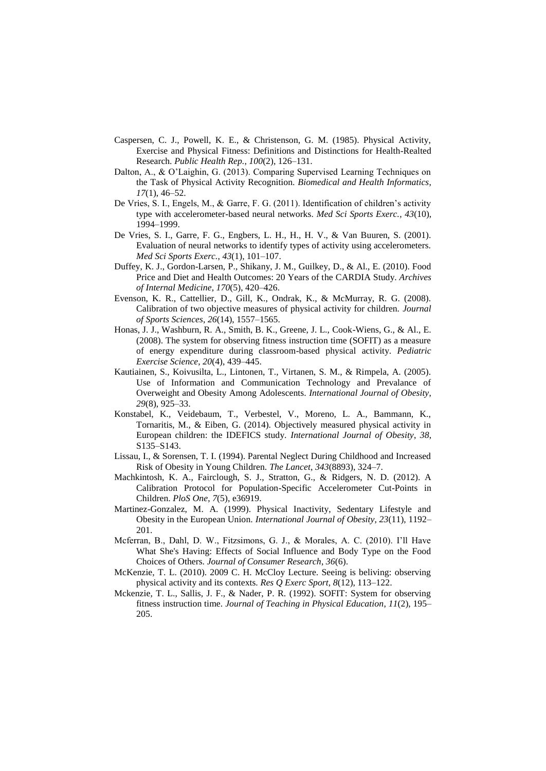- Caspersen, C. J., Powell, K. E., & Christenson, G. M. (1985). Physical Activity, Exercise and Physical Fitness: Definitions and Distinctions for Health-Realted Research. *Public Health Rep.*, *100*(2), 126–131.
- Dalton, A., & O'Laighin, G. (2013). Comparing Supervised Learning Techniques on the Task of Physical Activity Recognition. *Biomedical and Health Informatics*, *17*(1), 46–52.
- De Vries, S. I., Engels, M., & Garre, F. G. (2011). Identification of children's activity type with accelerometer-based neural networks. *Med Sci Sports Exerc.*, *43*(10), 1994–1999.
- De Vries, S. I., Garre, F. G., Engbers, L. H., H., H. V., & Van Buuren, S. (2001). Evaluation of neural networks to identify types of activity using accelerometers. *Med Sci Sports Exerc.*, *43*(1), 101–107.
- Duffey, K. J., Gordon-Larsen, P., Shikany, J. M., Guilkey, D., & Al., E. (2010). Food Price and Diet and Health Outcomes: 20 Years of the CARDIA Study. *Archives of Internal Medicine*, *170*(5), 420–426.
- Evenson, K. R., Cattellier, D., Gill, K., Ondrak, K., & McMurray, R. G. (2008). Calibration of two objective measures of physical activity for children. *Journal of Sports Sciences*, *26*(14), 1557–1565.
- Honas, J. J., Washburn, R. A., Smith, B. K., Greene, J. L., Cook-Wiens, G., & Al., E. (2008). The system for observing fitness instruction time (SOFIT) as a measure of energy expenditure during classroom-based physical activity. *Pediatric Exercise Science*, *20*(4), 439–445.
- Kautiainen, S., Koivusilta, L., Lintonen, T., Virtanen, S. M., & Rimpela, A. (2005). Use of Information and Communication Technology and Prevalance of Overweight and Obesity Among Adolescents. *International Journal of Obesity*, *29*(8), 925–33.
- Konstabel, K., Veidebaum, T., Verbestel, V., Moreno, L. A., Bammann, K., Tornaritis, M., & Eiben, G. (2014). Objectively measured physical activity in European children: the IDEFICS study. *International Journal of Obesity*, *38*, S135–S143.
- Lissau, I., & Sorensen, T. I. (1994). Parental Neglect During Childhood and Increased Risk of Obesity in Young Children. *The Lancet*, *343*(8893), 324–7.
- Machkintosh, K. A., Fairclough, S. J., Stratton, G., & Ridgers, N. D. (2012). A Calibration Protocol for Population-Specific Accelerometer Cut-Points in Children. *PloS One*, *7*(5), e36919.
- Martinez-Gonzalez, M. A. (1999). Physical Inactivity, Sedentary Lifestyle and Obesity in the European Union. *International Journal of Obesity*, *23*(11), 1192– 201.
- Mcferran, B., Dahl, D. W., Fitzsimons, G. J., & Morales, A. C. (2010). I'll Have What She's Having: Effects of Social Influence and Body Type on the Food Choices of Others. *Journal of Consumer Research*, *36*(6).
- McKenzie, T. L. (2010). 2009 C. H. McCloy Lecture. Seeing is beliving: observing physical activity and its contexts. *Res Q Exerc Sport*, *8*(12), 113–122.
- Mckenzie, T. L., Sallis, J. F., & Nader, P. R. (1992). SOFIT: System for observing fitness instruction time. *Journal of Teaching in Physical Education*, *11*(2), 195– 205.